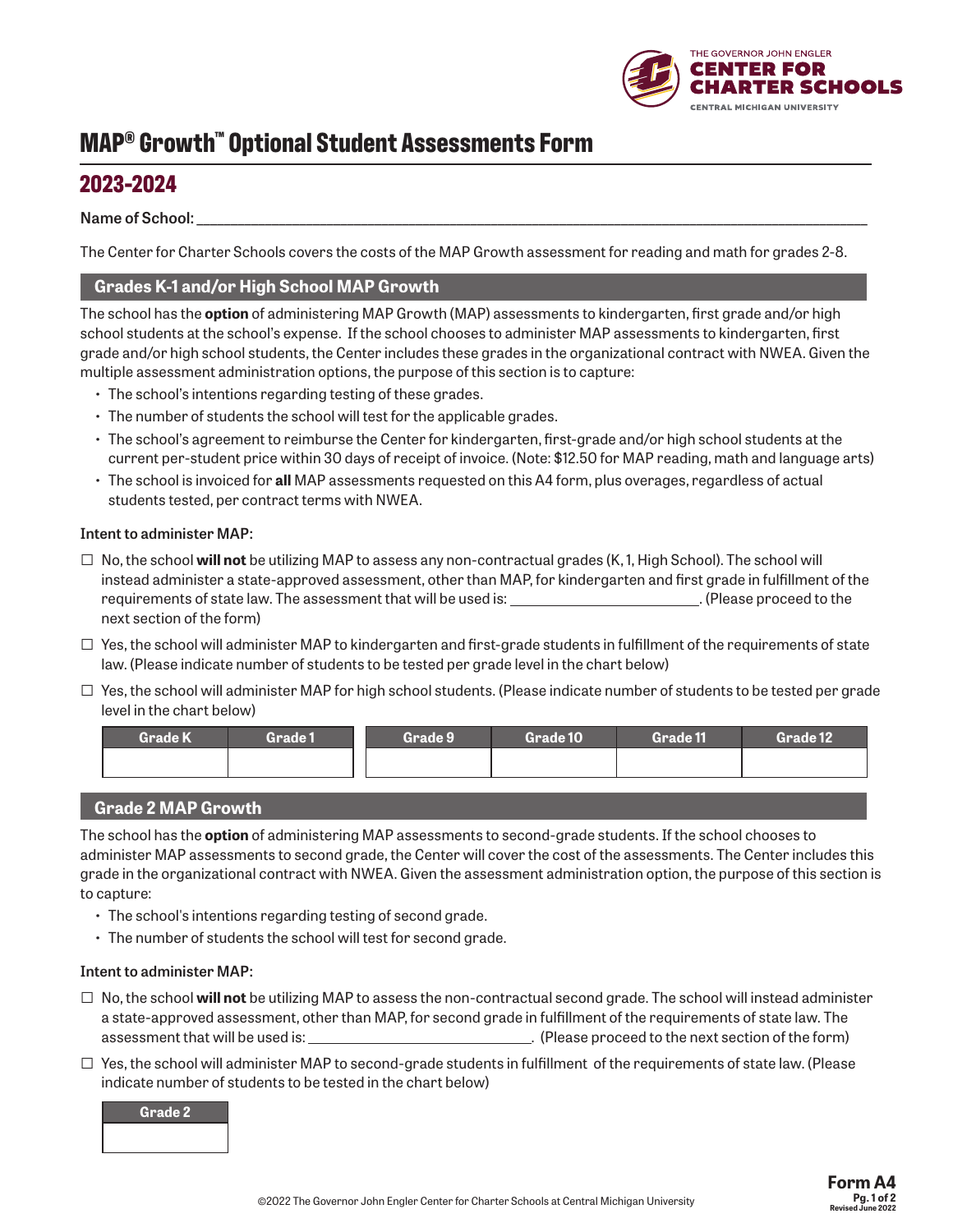

# **MAP® Growth™ Optional Student Assessments Form**

## **2023-2024**

## $\sf Name$  of School:

The Center for Charter Schools covers the costs of the MAP Growth assessment for reading and math for grades 2-8.

## **Grades K-1 and/or High School MAP Growth**

The school has the **option** of administering MAP Growth (MAP) assessments to kindergarten, first grade and/or high school students at the school's expense. If the school chooses to administer MAP assessments to kindergarten, first grade and/or high school students, the Center includes these grades in the organizational contract with NWEA. Given the multiple assessment administration options, the purpose of this section is to capture:

- The school's intentions regarding testing of these grades.
- The number of students the school will test for the applicable grades.
- The school's agreement to reimburse the Center for kindergarten, first-grade and/or high school students at the current per-student price within 30 days of receipt of invoice. (Note: \$12.50 for MAP reading, math and language arts)
- The school is invoiced for **all** MAP assessments requested on this A4 form, plus overages, regardless of actual students tested, per contract terms with NWEA.

## **Intent to administer MAP:**

- $\square$  No, the school **will not** be utilizing MAP to assess any non-contractual grades (K, 1, High School). The school will instead administer a state-approved assessment, other than MAP, for kindergarten and first grade in fulfillment of the requirements of state law. The assessment that will be used is: \_\_\_\_\_\_\_\_\_\_\_\_\_\_\_\_\_\_\_\_\_\_\_\_. (Please proceed to the next section of the form)
- $\Box$  Yes, the school will administer MAP to kindergarten and first-grade students in fulfillment of the requirements of state law. (Please indicate number of students to be tested per grade level in the chart below)
- $\square$  Yes, the school will administer MAP for high school students. (Please indicate number of students to be tested per grade level in the chart below)

| <b>Grade K</b> | Grade 1 | Grade 9 | Grade 10 | Grade 11 | Grade 12 |
|----------------|---------|---------|----------|----------|----------|
|                |         |         |          |          |          |
|                |         |         |          |          |          |

## **Grade 2 MAP Growth**

The school has the **option** of administering MAP assessments to second-grade students. If the school chooses to administer MAP assessments to second grade, the Center will cover the cost of the assessments. The Center includes this grade in the organizational contract with NWEA. Given the assessment administration option, the purpose of this section is to capture:

- The school's intentions regarding testing of second grade.
- The number of students the school will test for second grade.

### **Intent to administer MAP:**

- $\square$  No, the school **will not** be utilizing MAP to assess the non-contractual second grade. The school will instead administer a state-approved assessment, other than MAP, for second grade in fulfillment of the requirements of state law. The assessment that will be used is: . (Please proceed to the next section of the form)
- □ Yes, the school will administer MAP to second-grade students in fulfillment of the requirements of state law. (Please indicate number of students to be tested in the chart below)